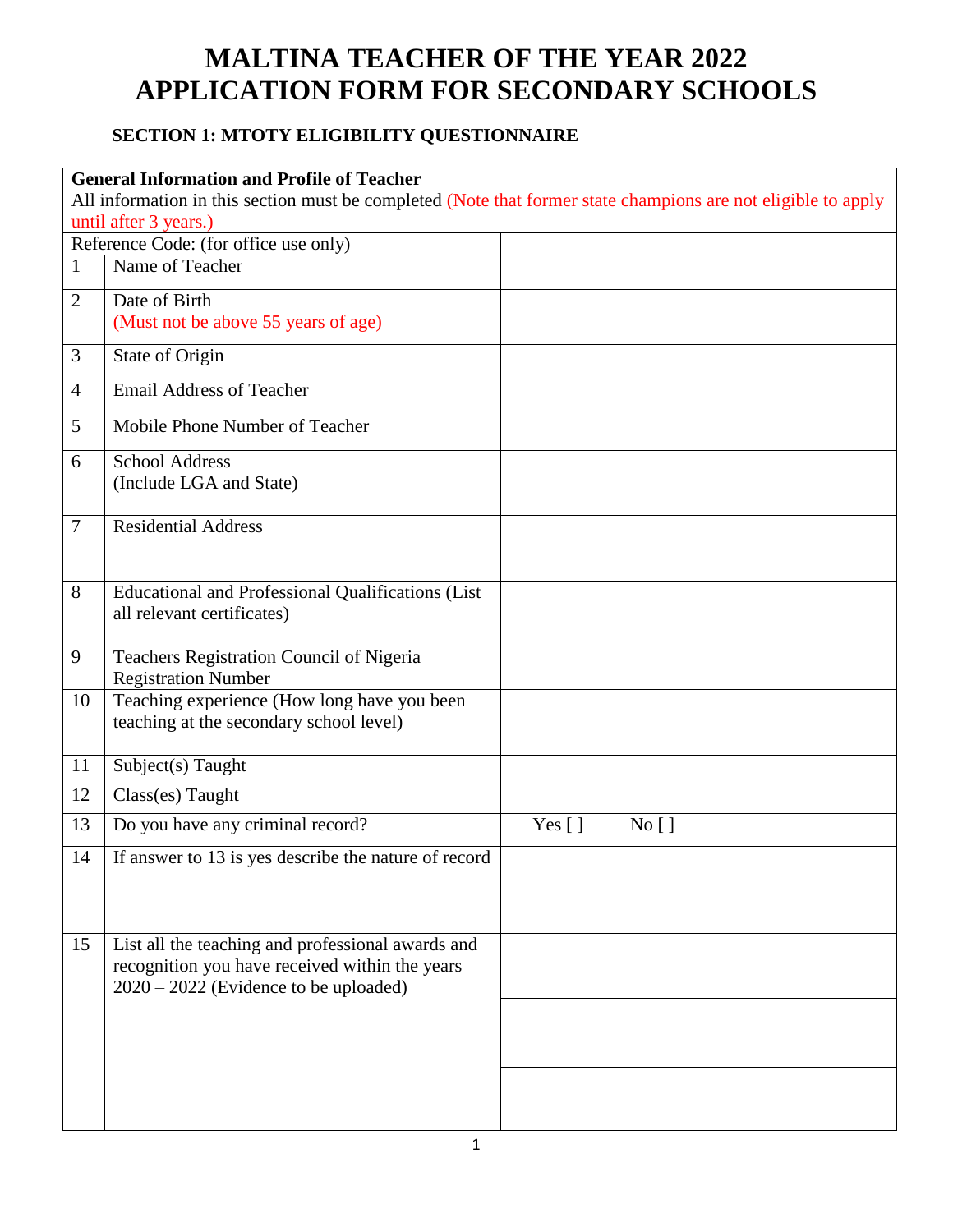## **MALTINA TEACHER OF THE YEAR 2022 APPLICATION FORM FOR SECONDARY SCHOOLS**

## **SECTION 1: MTOTY ELIGIBILITY QUESTIONNAIRE**

|                | <b>General Information and Profile of Teacher</b>                                                             |        |        |  |
|----------------|---------------------------------------------------------------------------------------------------------------|--------|--------|--|
|                | All information in this section must be completed (Note that former state champions are not eligible to apply |        |        |  |
|                | until after 3 years.)                                                                                         |        |        |  |
|                | Reference Code: (for office use only)                                                                         |        |        |  |
| 1              | Name of Teacher                                                                                               |        |        |  |
| $\overline{2}$ | Date of Birth                                                                                                 |        |        |  |
|                | (Must not be above 55 years of age)                                                                           |        |        |  |
| 3              | State of Origin                                                                                               |        |        |  |
| $\overline{4}$ | <b>Email Address of Teacher</b>                                                                               |        |        |  |
| 5              | Mobile Phone Number of Teacher                                                                                |        |        |  |
| 6              | <b>School Address</b>                                                                                         |        |        |  |
|                | (Include LGA and State)                                                                                       |        |        |  |
| 7              | <b>Residential Address</b>                                                                                    |        |        |  |
|                |                                                                                                               |        |        |  |
| 8              | <b>Educational and Professional Qualifications (List</b>                                                      |        |        |  |
|                | all relevant certificates)                                                                                    |        |        |  |
|                |                                                                                                               |        |        |  |
| 9              | Teachers Registration Council of Nigeria<br><b>Registration Number</b>                                        |        |        |  |
| 10             | Teaching experience (How long have you been                                                                   |        |        |  |
|                | teaching at the secondary school level)                                                                       |        |        |  |
| 11             | Subject(s) Taught                                                                                             |        |        |  |
| 12             | Class(es) Taught                                                                                              |        |        |  |
| 13             | Do you have any criminal record?                                                                              | Yes [] | No [ ] |  |
| 14             | If answer to 13 is yes describe the nature of record                                                          |        |        |  |
|                |                                                                                                               |        |        |  |
|                |                                                                                                               |        |        |  |
| 15             | List all the teaching and professional awards and                                                             |        |        |  |
|                | recognition you have received within the years                                                                |        |        |  |
|                | $2020 - 2022$ (Evidence to be uploaded)                                                                       |        |        |  |
|                |                                                                                                               |        |        |  |
|                |                                                                                                               |        |        |  |
|                |                                                                                                               |        |        |  |
|                |                                                                                                               |        |        |  |
|                |                                                                                                               |        |        |  |
|                |                                                                                                               |        |        |  |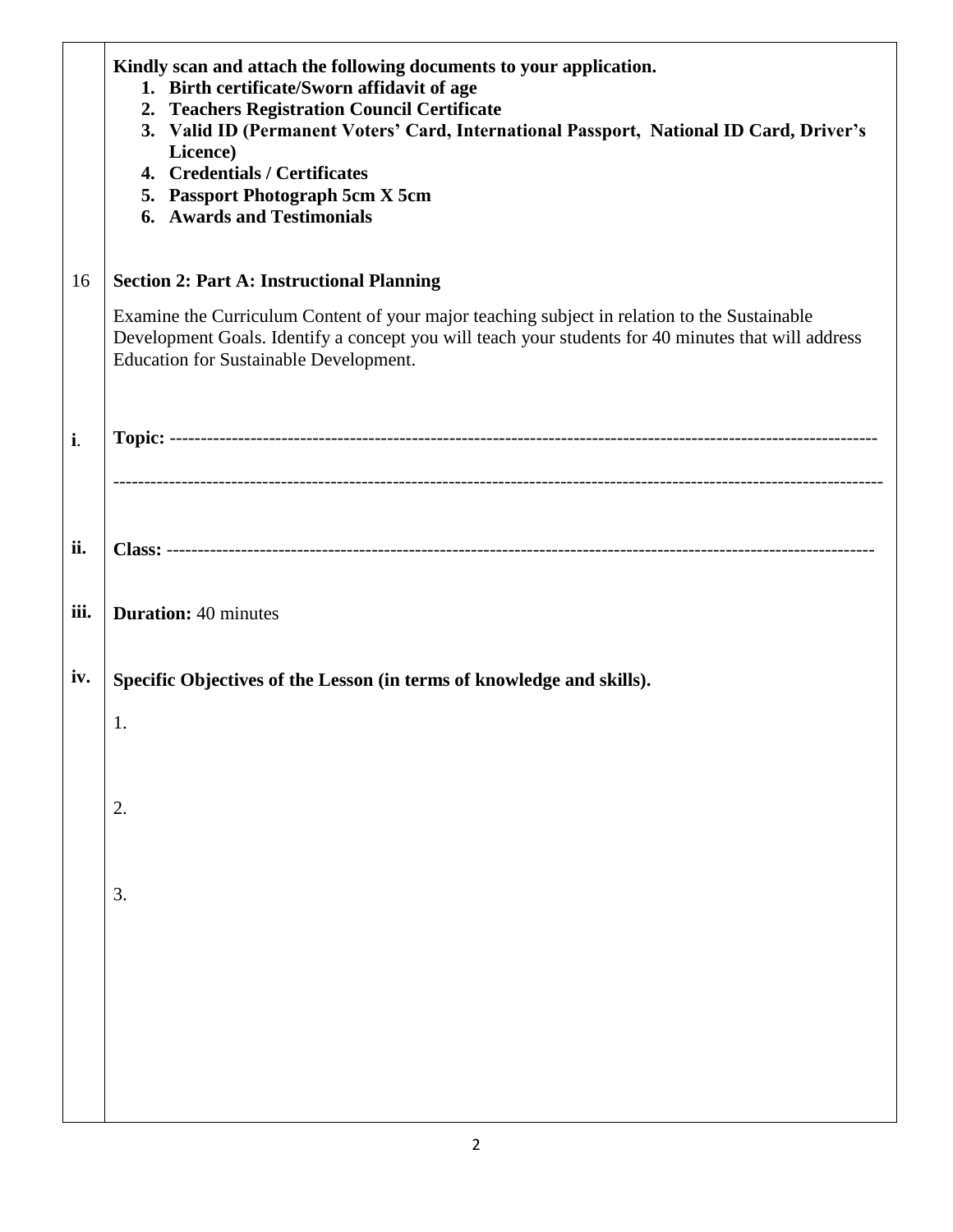| Development Goals. Identify a concept you will teach your students for 40 minutes that will address |
|-----------------------------------------------------------------------------------------------------|
|                                                                                                     |
|                                                                                                     |
|                                                                                                     |
|                                                                                                     |
|                                                                                                     |
|                                                                                                     |
|                                                                                                     |
|                                                                                                     |
|                                                                                                     |
|                                                                                                     |
|                                                                                                     |
|                                                                                                     |
|                                                                                                     |
|                                                                                                     |
|                                                                                                     |
|                                                                                                     |
|                                                                                                     |
|                                                                                                     |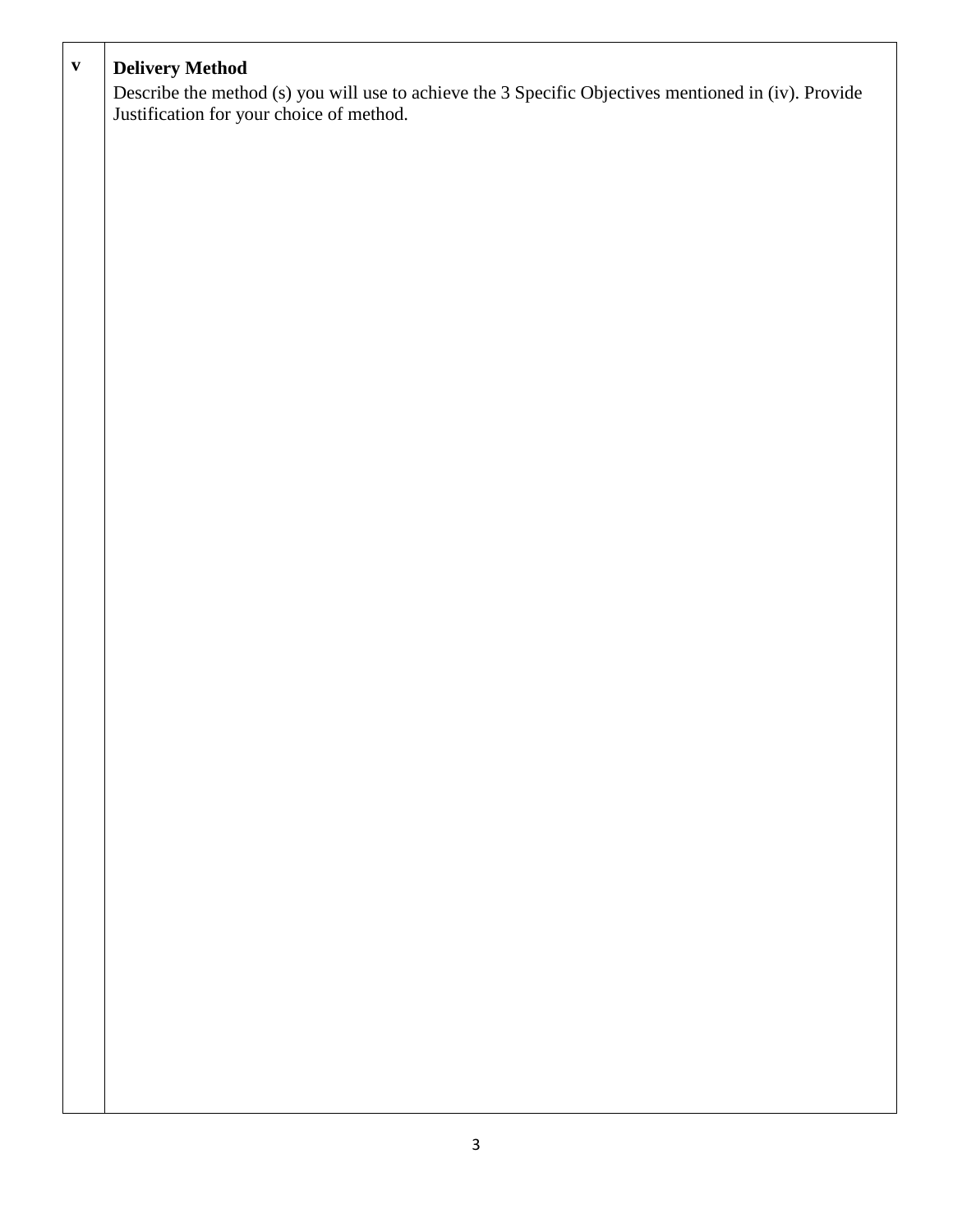| $\mathbf{v}$ | <b>Delivery Method</b>                                                                               |
|--------------|------------------------------------------------------------------------------------------------------|
|              |                                                                                                      |
|              | Describe the method (s) you will use to achieve the 3 Specific Objectives mentioned in (iv). Provide |
|              | Justification for your choice of method.                                                             |
|              |                                                                                                      |
|              |                                                                                                      |
|              |                                                                                                      |
|              |                                                                                                      |
|              |                                                                                                      |
|              |                                                                                                      |
|              |                                                                                                      |
|              |                                                                                                      |
|              |                                                                                                      |
|              |                                                                                                      |
|              |                                                                                                      |
|              |                                                                                                      |
|              |                                                                                                      |
|              |                                                                                                      |
|              |                                                                                                      |
|              |                                                                                                      |
|              |                                                                                                      |
|              |                                                                                                      |
|              |                                                                                                      |
|              |                                                                                                      |
|              |                                                                                                      |
|              |                                                                                                      |
|              |                                                                                                      |
|              |                                                                                                      |
|              |                                                                                                      |
|              |                                                                                                      |
|              |                                                                                                      |
|              |                                                                                                      |
|              |                                                                                                      |
|              |                                                                                                      |
|              |                                                                                                      |
|              |                                                                                                      |
|              |                                                                                                      |
|              |                                                                                                      |
|              |                                                                                                      |
|              |                                                                                                      |
|              |                                                                                                      |
|              |                                                                                                      |
|              |                                                                                                      |
|              |                                                                                                      |
|              |                                                                                                      |
|              |                                                                                                      |
|              |                                                                                                      |
|              |                                                                                                      |
|              |                                                                                                      |
|              |                                                                                                      |
|              |                                                                                                      |
|              |                                                                                                      |
|              |                                                                                                      |
|              |                                                                                                      |
|              |                                                                                                      |
|              |                                                                                                      |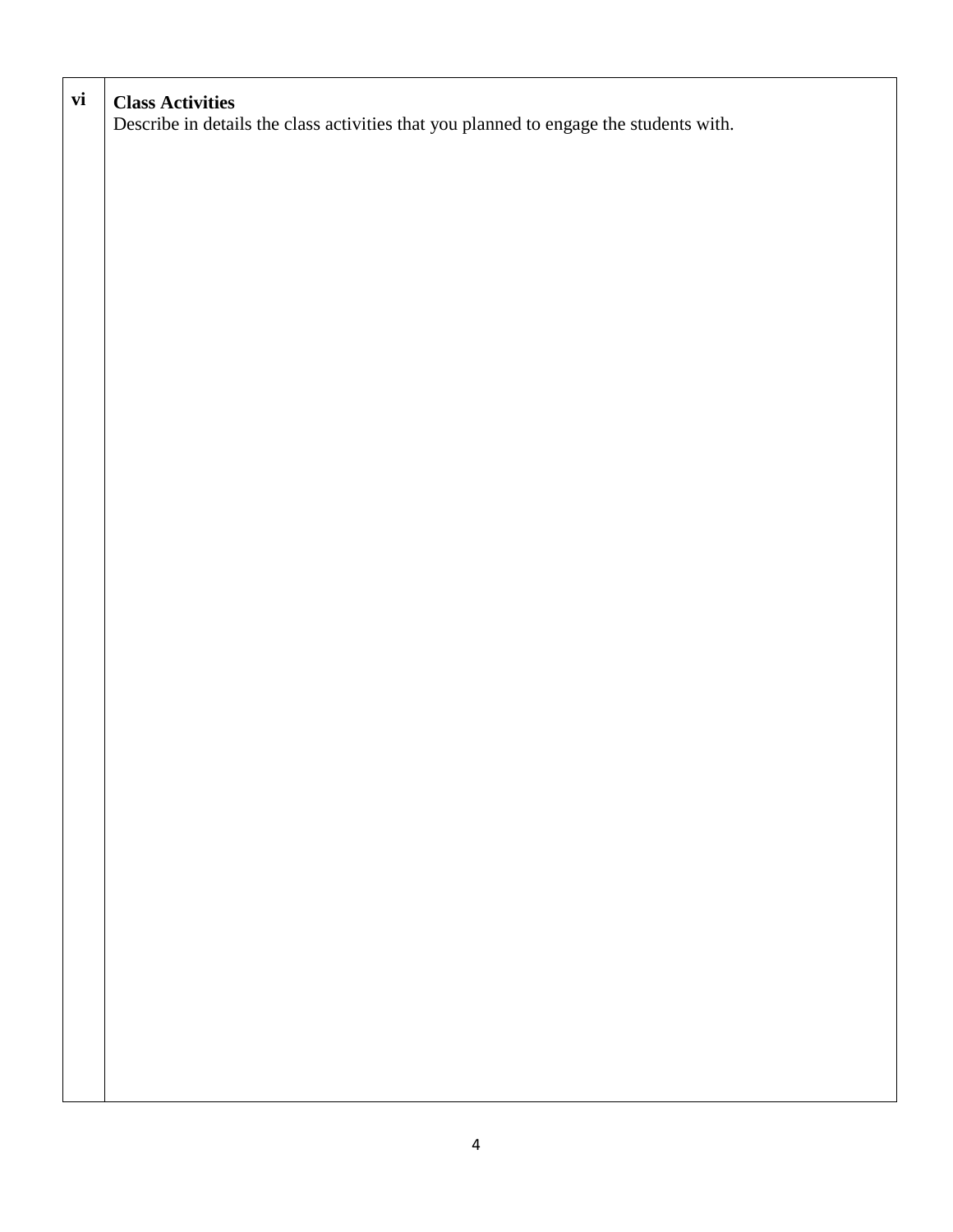| vi | <b>Class Activities</b><br>Describe in details the class activities that you planned to engage the students with. |
|----|-------------------------------------------------------------------------------------------------------------------|
|    |                                                                                                                   |
|    |                                                                                                                   |
|    |                                                                                                                   |
|    |                                                                                                                   |
|    |                                                                                                                   |
|    |                                                                                                                   |
|    |                                                                                                                   |
|    |                                                                                                                   |
|    |                                                                                                                   |
|    |                                                                                                                   |
|    |                                                                                                                   |
|    |                                                                                                                   |
|    |                                                                                                                   |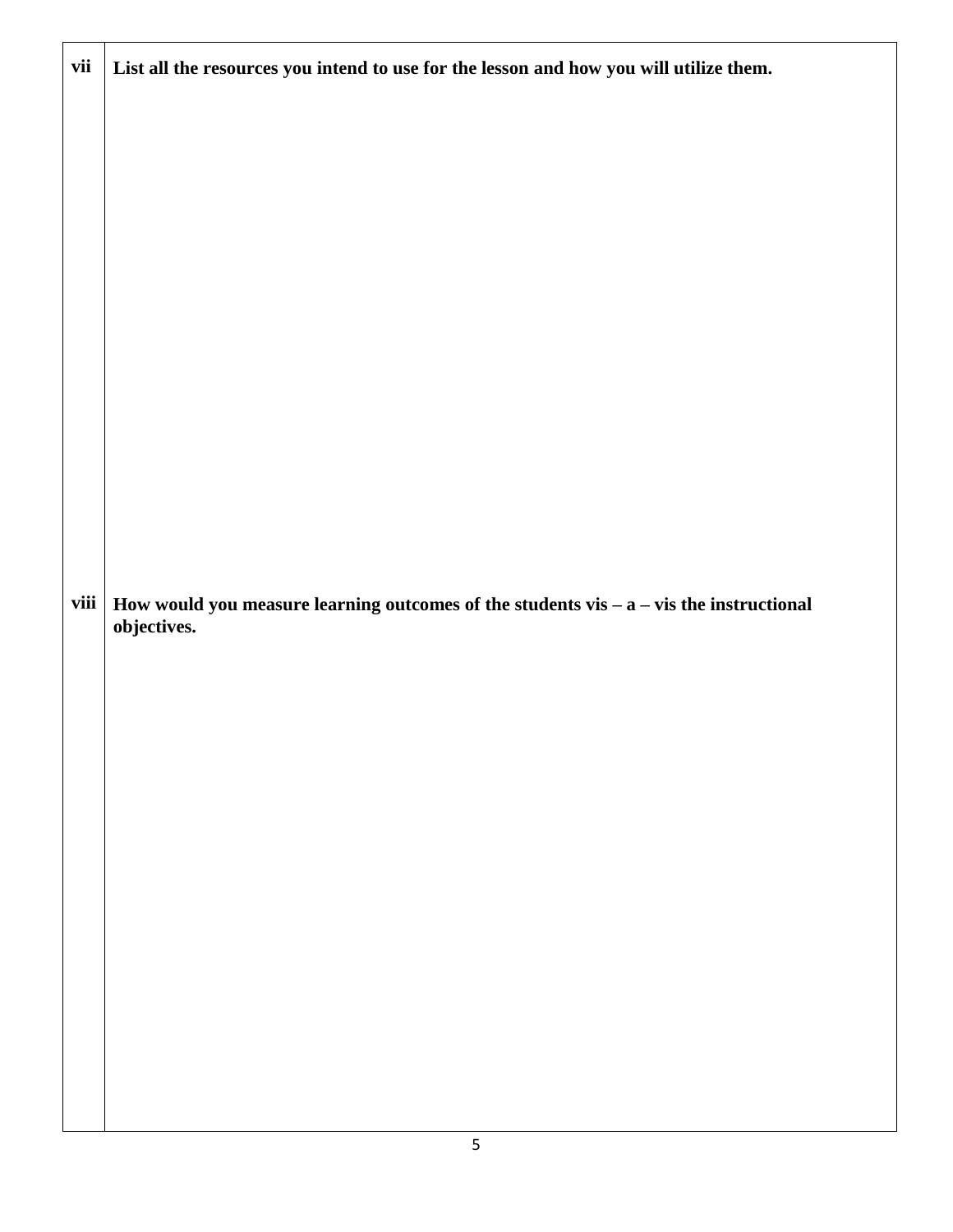| vii  | List all the resources you intend to use for the lesson and how you will utilize them.                     |
|------|------------------------------------------------------------------------------------------------------------|
| viii | How would you measure learning outcomes of the students vis $-$ a $-$ vis the instructional<br>objectives. |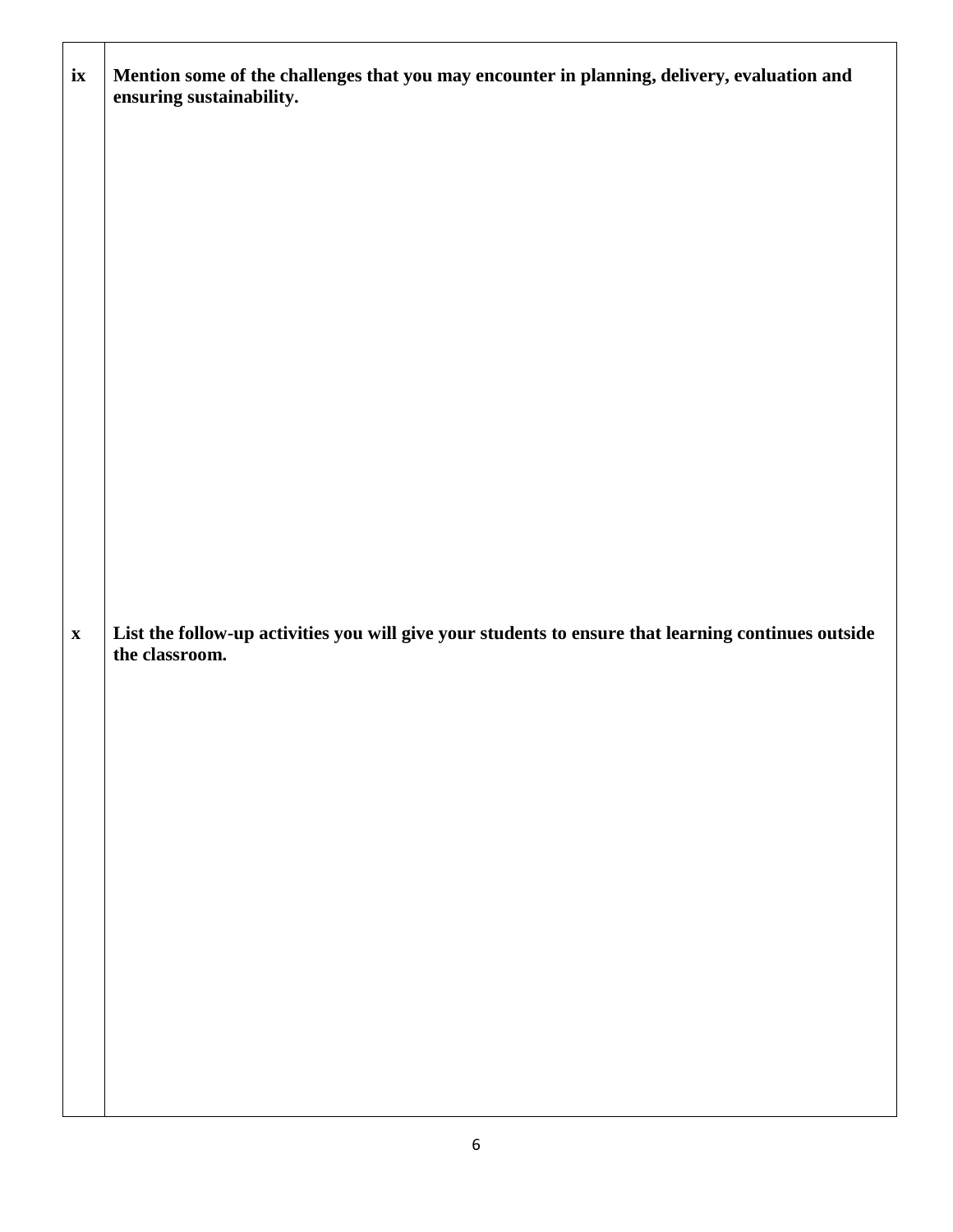| i <b>x</b>  | Mention some of the challenges that you may encounter in planning, delivery, evaluation and<br>ensuring sustainability. |
|-------------|-------------------------------------------------------------------------------------------------------------------------|
|             |                                                                                                                         |
|             |                                                                                                                         |
|             |                                                                                                                         |
|             |                                                                                                                         |
|             |                                                                                                                         |
|             |                                                                                                                         |
|             |                                                                                                                         |
| $\mathbf X$ | List the follow-up activities you will give your students to ensure that learning continues outside<br>the classroom.   |
|             |                                                                                                                         |
|             |                                                                                                                         |
|             |                                                                                                                         |
|             |                                                                                                                         |
|             |                                                                                                                         |
|             |                                                                                                                         |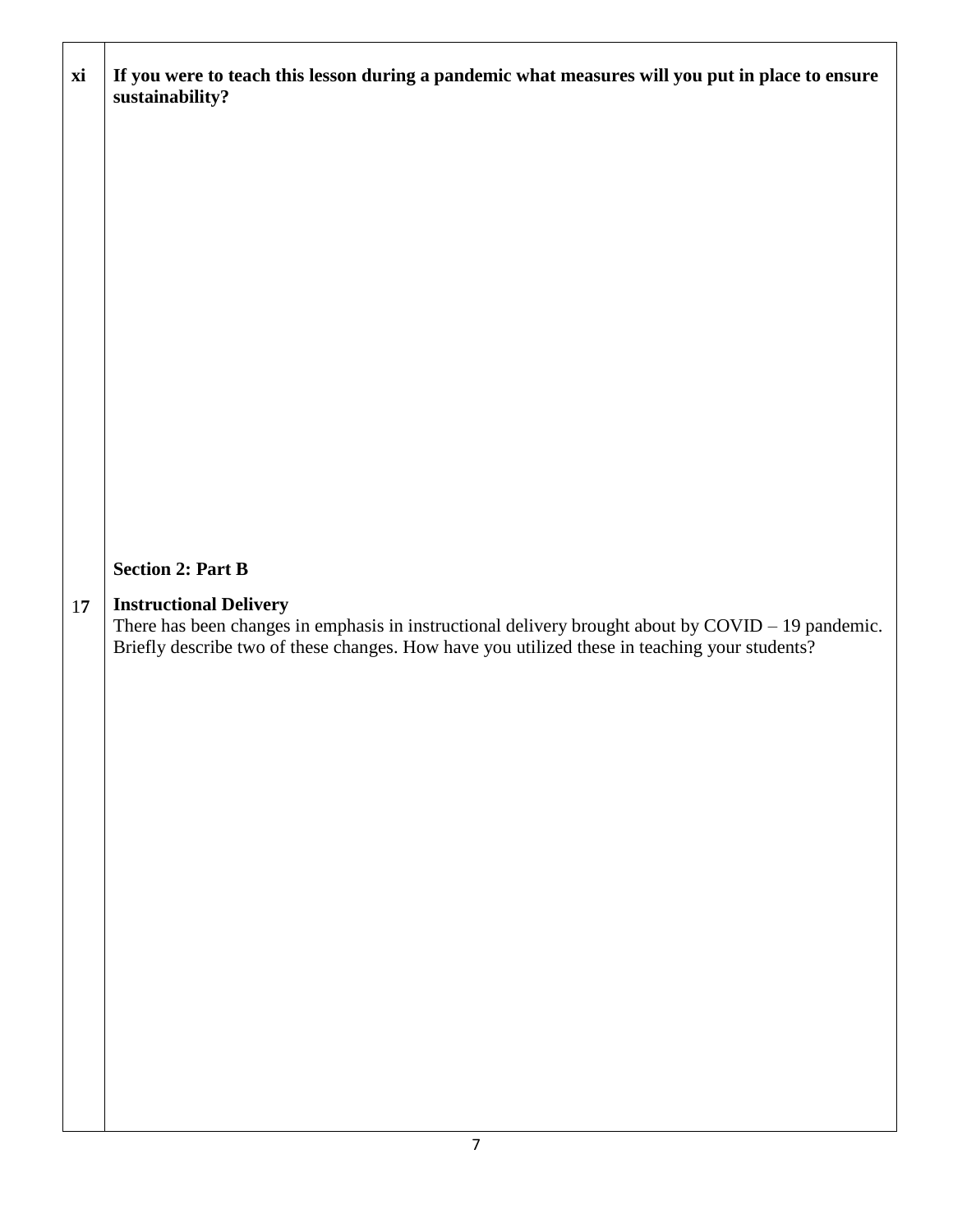| xi | If you were to teach this lesson during a pandemic what measures will you put in place to ensure<br>sustainability?                                                                                                                           |
|----|-----------------------------------------------------------------------------------------------------------------------------------------------------------------------------------------------------------------------------------------------|
|    |                                                                                                                                                                                                                                               |
|    |                                                                                                                                                                                                                                               |
|    |                                                                                                                                                                                                                                               |
|    |                                                                                                                                                                                                                                               |
|    |                                                                                                                                                                                                                                               |
|    |                                                                                                                                                                                                                                               |
|    | <b>Section 2: Part B</b>                                                                                                                                                                                                                      |
|    |                                                                                                                                                                                                                                               |
| 17 | <b>Instructional Delivery</b><br>There has been changes in emphasis in instructional delivery brought about by $\text{COVID} - 19$ pandemic.<br>Briefly describe two of these changes. How have you utilized these in teaching your students? |
|    |                                                                                                                                                                                                                                               |
|    |                                                                                                                                                                                                                                               |
|    |                                                                                                                                                                                                                                               |
|    |                                                                                                                                                                                                                                               |
|    |                                                                                                                                                                                                                                               |
|    |                                                                                                                                                                                                                                               |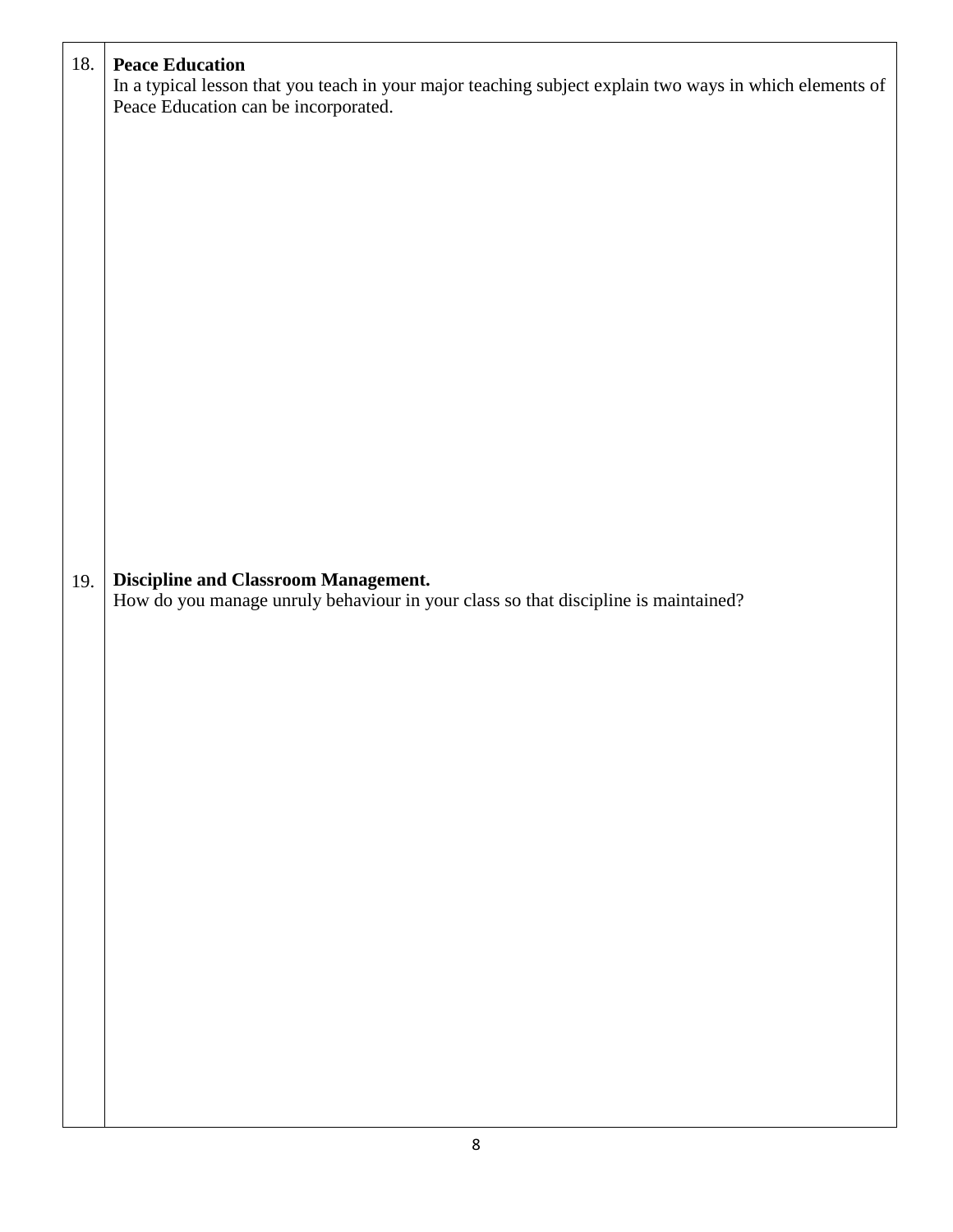| 18. | <b>Peace Education</b><br>In a typical lesson that you teach in your major teaching subject explain two ways in which elements of<br>Peace Education can be incorporated. |
|-----|---------------------------------------------------------------------------------------------------------------------------------------------------------------------------|
| 19. | <b>Discipline and Classroom Management.</b><br>How do you manage unruly behaviour in your class so that discipline is maintained?                                         |
|     |                                                                                                                                                                           |
|     |                                                                                                                                                                           |
|     |                                                                                                                                                                           |